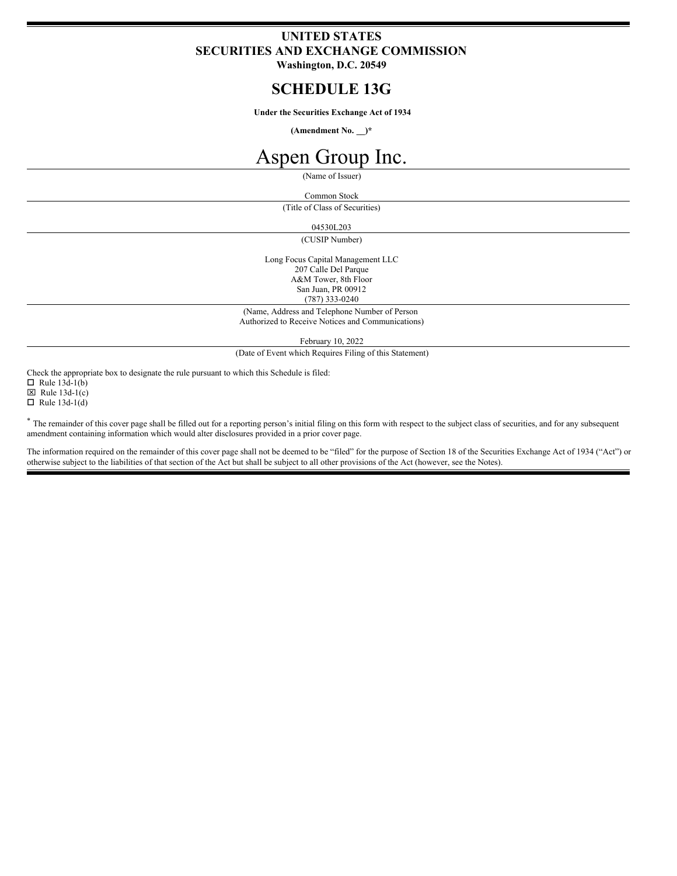# **UNITED STATES SECURITIES AND EXCHANGE COMMISSION**

**Washington, D.C. 20549**

# **SCHEDULE 13G**

**Under the Securities Exchange Act of 1934**

**(Amendment No. \_\_)\***

# Aspen Group Inc.

(Name of Issuer)

Common Stock

(Title of Class of Securities)

04530L203

(CUSIP Number)

Long Focus Capital Management LLC 207 Calle Del Parque A&M Tower, 8th Floor San Juan, PR 00912 (787) 333-0240

(Name, Address and Telephone Number of Person Authorized to Receive Notices and Communications)

February 10, 2022

(Date of Event which Requires Filing of this Statement)

Check the appropriate box to designate the rule pursuant to which this Schedule is filed:

 $\Box$  Rule 13d-1(b)

 $\boxtimes$  Rule 13d-1(c)

 $\Box$  Rule 13d-1(d)

\* The remainder of this cover page shall be filled out for a reporting person's initial filing on this form with respect to the subject class of securities, and for any subsequent amendment containing information which would alter disclosures provided in a prior cover page.

The information required on the remainder of this cover page shall not be deemed to be "filed" for the purpose of Section 18 of the Securities Exchange Act of 1934 ("Act") or otherwise subject to the liabilities of that section of the Act but shall be subject to all other provisions of the Act (however, see the Notes).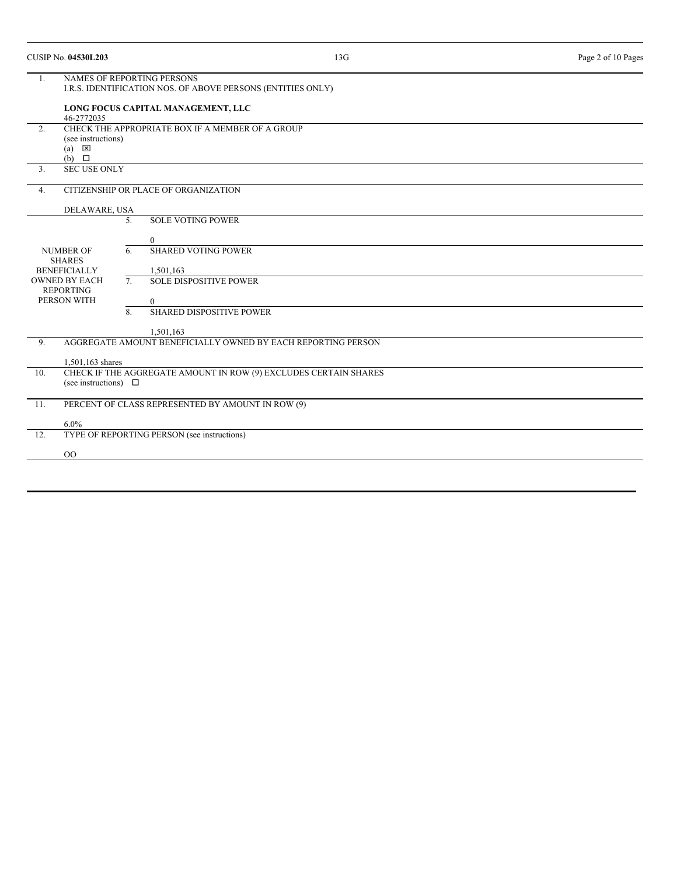|                  | <b>CUSIP No. 04530L203</b>                                                                    |                                                                                                  | 13G                                                          | Page 2 of 10 Pages |  |  |  |
|------------------|-----------------------------------------------------------------------------------------------|--------------------------------------------------------------------------------------------------|--------------------------------------------------------------|--------------------|--|--|--|
| 1.               |                                                                                               | <b>NAMES OF REPORTING PERSONS</b><br>I.R.S. IDENTIFICATION NOS. OF ABOVE PERSONS (ENTITIES ONLY) |                                                              |                    |  |  |  |
|                  | 46-2772035                                                                                    | LONG FOCUS CAPITAL MANAGEMENT, LLC                                                               |                                                              |                    |  |  |  |
| 2.               | (see instructions)<br>$(a) \quad \boxed{\times}$<br>$(b)$ $\square$                           |                                                                                                  | CHECK THE APPROPRIATE BOX IF A MEMBER OF A GROUP             |                    |  |  |  |
| 3 <sub>1</sub>   | <b>SEC USE ONLY</b>                                                                           |                                                                                                  |                                                              |                    |  |  |  |
| 4.               |                                                                                               | CITIZENSHIP OR PLACE OF ORGANIZATION                                                             |                                                              |                    |  |  |  |
|                  | DELAWARE, USA                                                                                 |                                                                                                  |                                                              |                    |  |  |  |
|                  |                                                                                               | 5.                                                                                               | <b>SOLE VOTING POWER</b>                                     |                    |  |  |  |
|                  |                                                                                               |                                                                                                  | $\mathbf{0}$                                                 |                    |  |  |  |
| <b>NUMBER OF</b> |                                                                                               | 6.                                                                                               | <b>SHARED VOTING POWER</b>                                   |                    |  |  |  |
|                  | <b>SHARES</b><br><b>BENEFICIALLY</b>                                                          |                                                                                                  | 1,501,163                                                    |                    |  |  |  |
|                  | <b>OWNED BY EACH</b><br><b>REPORTING</b>                                                      | 7.                                                                                               | <b>SOLE DISPOSITIVE POWER</b>                                |                    |  |  |  |
|                  | PERSON WITH                                                                                   |                                                                                                  | $\Omega$                                                     |                    |  |  |  |
|                  |                                                                                               | 8.                                                                                               | <b>SHARED DISPOSITIVE POWER</b>                              |                    |  |  |  |
|                  |                                                                                               |                                                                                                  | 1.501.163                                                    |                    |  |  |  |
| 9.               |                                                                                               |                                                                                                  | AGGREGATE AMOUNT BENEFICIALLY OWNED BY EACH REPORTING PERSON |                    |  |  |  |
|                  | 1,501,163 shares                                                                              |                                                                                                  |                                                              |                    |  |  |  |
| 10.              | CHECK IF THE AGGREGATE AMOUNT IN ROW (9) EXCLUDES CERTAIN SHARES<br>(see instructions) $\Box$ |                                                                                                  |                                                              |                    |  |  |  |
| 11.              | PERCENT OF CLASS REPRESENTED BY AMOUNT IN ROW (9)                                             |                                                                                                  |                                                              |                    |  |  |  |
|                  | 6.0%                                                                                          |                                                                                                  |                                                              |                    |  |  |  |
| 12.              |                                                                                               |                                                                                                  | TYPE OF REPORTING PERSON (see instructions)                  |                    |  |  |  |
|                  | 00                                                                                            |                                                                                                  |                                                              |                    |  |  |  |
|                  |                                                                                               |                                                                                                  |                                                              |                    |  |  |  |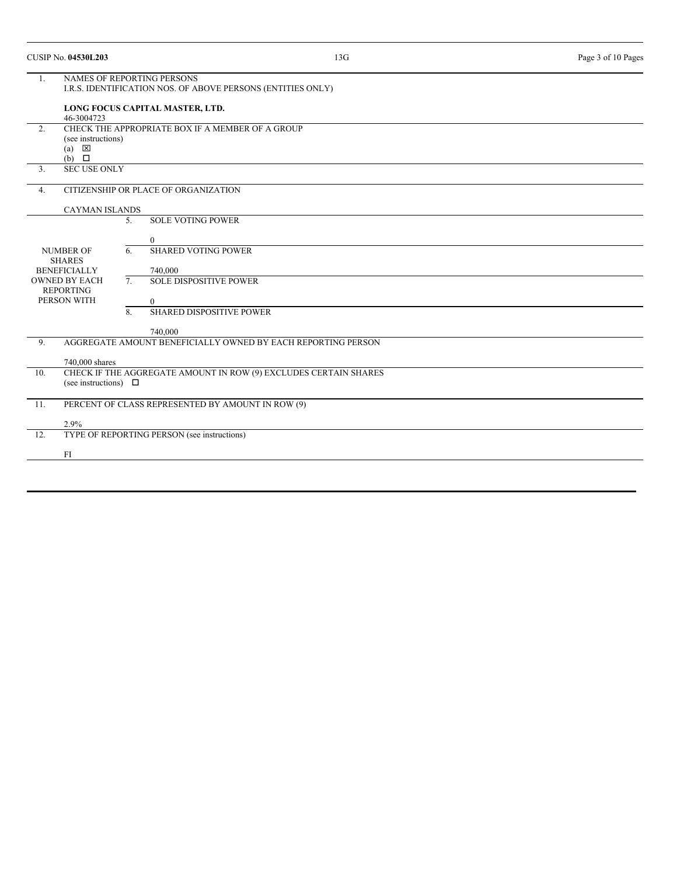|                                                                                                                     | <b>CUSIP No. 04530L203</b>                                                                            |                                                                                                  | 13G                                                                     | Page 3 of 10 Pages |  |  |  |
|---------------------------------------------------------------------------------------------------------------------|-------------------------------------------------------------------------------------------------------|--------------------------------------------------------------------------------------------------|-------------------------------------------------------------------------|--------------------|--|--|--|
| 1.                                                                                                                  |                                                                                                       | <b>NAMES OF REPORTING PERSONS</b><br>I.R.S. IDENTIFICATION NOS. OF ABOVE PERSONS (ENTITIES ONLY) |                                                                         |                    |  |  |  |
|                                                                                                                     | 46-3004723                                                                                            |                                                                                                  | LONG FOCUS CAPITAL MASTER, LTD.                                         |                    |  |  |  |
| 2.                                                                                                                  | CHECK THE APPROPRIATE BOX IF A MEMBER OF A GROUP<br>(see instructions)<br>区<br>(a)<br>$(b)$ $\square$ |                                                                                                  |                                                                         |                    |  |  |  |
| 3.                                                                                                                  | <b>SEC USE ONLY</b>                                                                                   |                                                                                                  |                                                                         |                    |  |  |  |
| 4.                                                                                                                  |                                                                                                       |                                                                                                  | CITIZENSHIP OR PLACE OF ORGANIZATION                                    |                    |  |  |  |
|                                                                                                                     | <b>CAYMAN ISLANDS</b>                                                                                 |                                                                                                  |                                                                         |                    |  |  |  |
|                                                                                                                     |                                                                                                       | 5.                                                                                               | <b>SOLE VOTING POWER</b><br>$\overline{0}$                              |                    |  |  |  |
| <b>NUMBER OF</b><br><b>SHARES</b><br><b>BENEFICIALLY</b><br><b>OWNED BY EACH</b><br><b>REPORTING</b><br>PERSON WITH |                                                                                                       | 6.                                                                                               | <b>SHARED VOTING POWER</b><br>740,000                                   |                    |  |  |  |
|                                                                                                                     |                                                                                                       | 7.                                                                                               | <b>SOLE DISPOSITIVE POWER</b><br>$\overline{0}$                         |                    |  |  |  |
|                                                                                                                     |                                                                                                       | 8.                                                                                               | <b>SHARED DISPOSITIVE POWER</b>                                         |                    |  |  |  |
| 9.                                                                                                                  |                                                                                                       |                                                                                                  | 740,000<br>AGGREGATE AMOUNT BENEFICIALLY OWNED BY EACH REPORTING PERSON |                    |  |  |  |
|                                                                                                                     | 740,000 shares                                                                                        |                                                                                                  |                                                                         |                    |  |  |  |
| 10.                                                                                                                 | CHECK IF THE AGGREGATE AMOUNT IN ROW (9) EXCLUDES CERTAIN SHARES<br>(see instructions) $\Box$         |                                                                                                  |                                                                         |                    |  |  |  |
| 11.                                                                                                                 | PERCENT OF CLASS REPRESENTED BY AMOUNT IN ROW (9)                                                     |                                                                                                  |                                                                         |                    |  |  |  |
| 12.                                                                                                                 | 2.9%                                                                                                  |                                                                                                  | TYPE OF REPORTING PERSON (see instructions)                             |                    |  |  |  |
|                                                                                                                     | FI                                                                                                    |                                                                                                  |                                                                         |                    |  |  |  |
|                                                                                                                     |                                                                                                       |                                                                                                  |                                                                         |                    |  |  |  |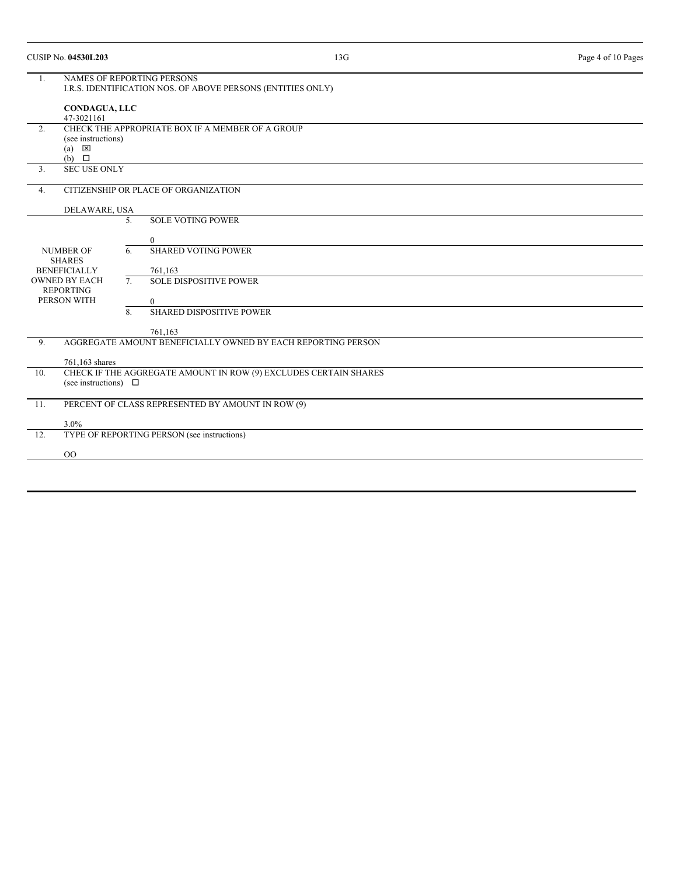|                                                              | <b>CUSIP No. 04530L203</b>                                                                       |                | 13G                                                          | Page 4 of 10 Pages |  |  |
|--------------------------------------------------------------|--------------------------------------------------------------------------------------------------|----------------|--------------------------------------------------------------|--------------------|--|--|
| 1.                                                           | <b>NAMES OF REPORTING PERSONS</b><br>I.R.S. IDENTIFICATION NOS. OF ABOVE PERSONS (ENTITIES ONLY) |                |                                                              |                    |  |  |
|                                                              | <b>CONDAGUA, LLC</b><br>47-3021161                                                               |                |                                                              |                    |  |  |
| 2.                                                           | (see instructions)<br>区<br>(a)<br>$(b)$ $\square$                                                |                | CHECK THE APPROPRIATE BOX IF A MEMBER OF A GROUP             |                    |  |  |
| 3.                                                           | <b>SEC USE ONLY</b>                                                                              |                |                                                              |                    |  |  |
| 4.                                                           |                                                                                                  |                | CITIZENSHIP OR PLACE OF ORGANIZATION                         |                    |  |  |
|                                                              | DELAWARE, USA                                                                                    |                |                                                              |                    |  |  |
|                                                              |                                                                                                  | 5.             | <b>SOLE VOTING POWER</b>                                     |                    |  |  |
|                                                              |                                                                                                  |                | $\overline{0}$                                               |                    |  |  |
|                                                              | <b>NUMBER OF</b>                                                                                 | 6.             | <b>SHARED VOTING POWER</b>                                   |                    |  |  |
| <b>SHARES</b><br><b>BENEFICIALLY</b><br><b>OWNED BY EACH</b> |                                                                                                  |                | 761,163                                                      |                    |  |  |
|                                                              |                                                                                                  | 7 <sub>1</sub> | <b>SOLE DISPOSITIVE POWER</b>                                |                    |  |  |
|                                                              | <b>REPORTING</b><br>PERSON WITH                                                                  |                | $\overline{0}$                                               |                    |  |  |
|                                                              |                                                                                                  | 8.             | <b>SHARED DISPOSITIVE POWER</b>                              |                    |  |  |
|                                                              |                                                                                                  |                | 761.163                                                      |                    |  |  |
| 9.                                                           |                                                                                                  |                | AGGREGATE AMOUNT BENEFICIALLY OWNED BY EACH REPORTING PERSON |                    |  |  |
|                                                              | 761,163 shares                                                                                   |                |                                                              |                    |  |  |
| 10.                                                          | CHECK IF THE AGGREGATE AMOUNT IN ROW (9) EXCLUDES CERTAIN SHARES<br>(see instructions) $\Box$    |                |                                                              |                    |  |  |
| 11.                                                          | PERCENT OF CLASS REPRESENTED BY AMOUNT IN ROW (9)                                                |                |                                                              |                    |  |  |
|                                                              | 3.0%                                                                                             |                |                                                              |                    |  |  |
| 12.                                                          |                                                                                                  |                | TYPE OF REPORTING PERSON (see instructions)                  |                    |  |  |
|                                                              | 00                                                                                               |                |                                                              |                    |  |  |
|                                                              |                                                                                                  |                |                                                              |                    |  |  |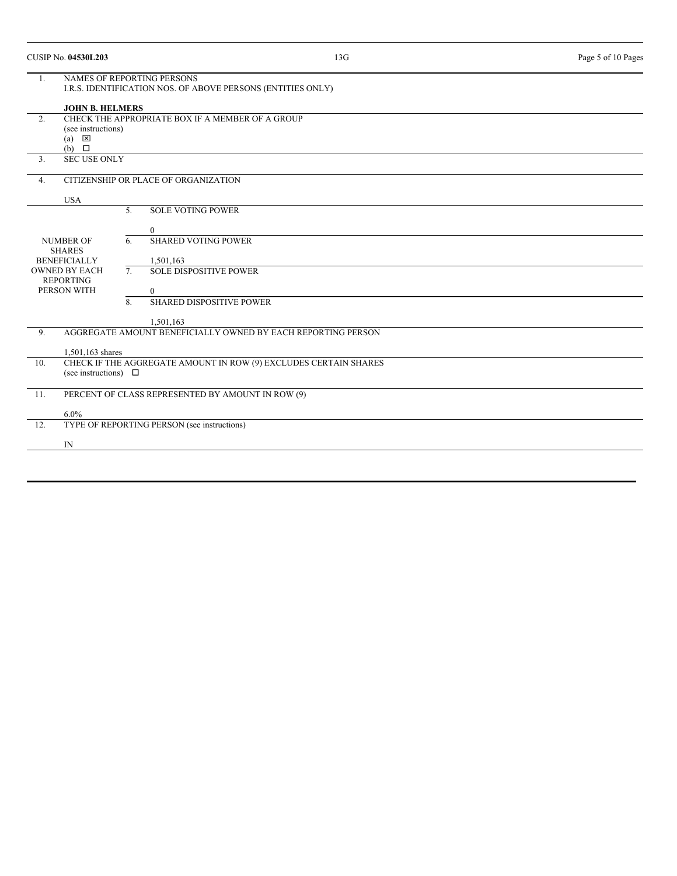|                                                                                                        | <b>CUSIP No. 04530L203</b>                        |    | 13G                                                          |  | Page 5 of 10 Pages |  |  |
|--------------------------------------------------------------------------------------------------------|---------------------------------------------------|----|--------------------------------------------------------------|--|--------------------|--|--|
| <b>NAMES OF REPORTING PERSONS</b><br>1.<br>I.R.S. IDENTIFICATION NOS. OF ABOVE PERSONS (ENTITIES ONLY) |                                                   |    |                                                              |  |                    |  |  |
|                                                                                                        | <b>JOHN B. HELMERS</b>                            |    |                                                              |  |                    |  |  |
| 2.                                                                                                     |                                                   |    | CHECK THE APPROPRIATE BOX IF A MEMBER OF A GROUP             |  |                    |  |  |
|                                                                                                        | (see instructions)                                |    |                                                              |  |                    |  |  |
|                                                                                                        | $\overline{\mathsf{x}}$<br>(a)<br>$(b)$ $\square$ |    |                                                              |  |                    |  |  |
| 3.                                                                                                     | <b>SEC USE ONLY</b>                               |    |                                                              |  |                    |  |  |
| 4.                                                                                                     | CITIZENSHIP OR PLACE OF ORGANIZATION              |    |                                                              |  |                    |  |  |
|                                                                                                        | <b>USA</b>                                        |    |                                                              |  |                    |  |  |
|                                                                                                        |                                                   | 5. | <b>SOLE VOTING POWER</b>                                     |  |                    |  |  |
|                                                                                                        |                                                   |    | $\overline{0}$                                               |  |                    |  |  |
|                                                                                                        | <b>NUMBER OF</b>                                  | 6. | <b>SHARED VOTING POWER</b>                                   |  |                    |  |  |
|                                                                                                        | <b>SHARES</b>                                     |    |                                                              |  |                    |  |  |
|                                                                                                        | <b>BENEFICIALLY</b>                               |    | 1,501,163                                                    |  |                    |  |  |
|                                                                                                        | <b>OWNED BY EACH</b><br><b>REPORTING</b>          | 7. | <b>SOLE DISPOSITIVE POWER</b>                                |  |                    |  |  |
|                                                                                                        | PERSON WITH                                       |    | $\overline{0}$                                               |  |                    |  |  |
|                                                                                                        |                                                   | 8. | <b>SHARED DISPOSITIVE POWER</b>                              |  |                    |  |  |
|                                                                                                        |                                                   |    |                                                              |  |                    |  |  |
|                                                                                                        |                                                   |    | 1,501,163                                                    |  |                    |  |  |
| 9.                                                                                                     |                                                   |    | AGGREGATE AMOUNT BENEFICIALLY OWNED BY EACH REPORTING PERSON |  |                    |  |  |
|                                                                                                        | 1,501,163 shares                                  |    |                                                              |  |                    |  |  |
| CHECK IF THE AGGREGATE AMOUNT IN ROW (9) EXCLUDES CERTAIN SHARES<br>10.                                |                                                   |    |                                                              |  |                    |  |  |
|                                                                                                        | (see instructions) $\Box$                         |    |                                                              |  |                    |  |  |
| 11.                                                                                                    | PERCENT OF CLASS REPRESENTED BY AMOUNT IN ROW (9) |    |                                                              |  |                    |  |  |
|                                                                                                        | 6.0%                                              |    |                                                              |  |                    |  |  |
| 12.                                                                                                    |                                                   |    | TYPE OF REPORTING PERSON (see instructions)                  |  |                    |  |  |
|                                                                                                        | IN                                                |    |                                                              |  |                    |  |  |
|                                                                                                        |                                                   |    |                                                              |  |                    |  |  |
|                                                                                                        |                                                   |    |                                                              |  |                    |  |  |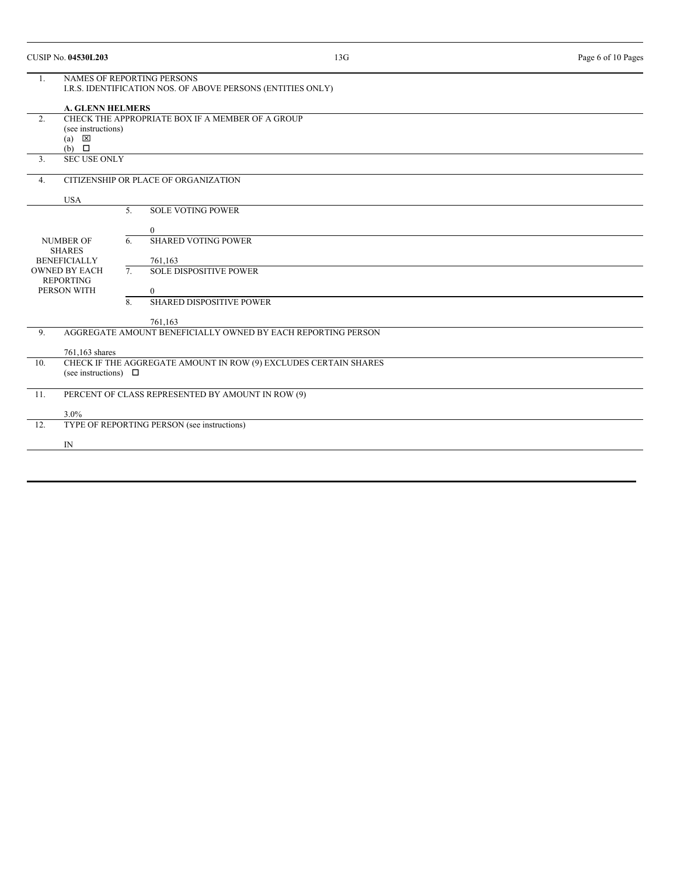|     | <b>CUSIP No. 04530L203</b>                                                                                                  |          |                                                              | 13G | Page 6 of 10 Pages |  |
|-----|-----------------------------------------------------------------------------------------------------------------------------|----------|--------------------------------------------------------------|-----|--------------------|--|
| 1.  | <b>NAMES OF REPORTING PERSONS</b><br>I.R.S. IDENTIFICATION NOS. OF ABOVE PERSONS (ENTITIES ONLY)<br><b>A. GLENN HELMERS</b> |          |                                                              |     |                    |  |
| 2.  | (see instructions)<br>$\mathsf{x}$<br>(a)<br>$(b)$ $\square$                                                                |          | CHECK THE APPROPRIATE BOX IF A MEMBER OF A GROUP             |     |                    |  |
| 3.  | <b>SEC USE ONLY</b>                                                                                                         |          |                                                              |     |                    |  |
| 4.  |                                                                                                                             |          | CITIZENSHIP OR PLACE OF ORGANIZATION                         |     |                    |  |
|     | <b>USA</b>                                                                                                                  |          |                                                              |     |                    |  |
|     |                                                                                                                             | 5.<br>6. | <b>SOLE VOTING POWER</b><br>$\overline{0}$                   |     |                    |  |
|     | <b>NUMBER OF</b><br><b>SHARES</b><br><b>BENEFICIALLY</b><br><b>OWNED BY EACH</b><br><b>REPORTING</b><br>PERSON WITH         |          | <b>SHARED VOTING POWER</b><br>761,163                        |     |                    |  |
|     |                                                                                                                             |          | <b>SOLE DISPOSITIVE POWER</b><br>$\Omega$                    |     |                    |  |
|     |                                                                                                                             | 8.       | SHARED DISPOSITIVE POWER<br>761,163                          |     |                    |  |
| 9.  |                                                                                                                             |          | AGGREGATE AMOUNT BENEFICIALLY OWNED BY EACH REPORTING PERSON |     |                    |  |
| 10. | 761,163 shares<br>CHECK IF THE AGGREGATE AMOUNT IN ROW (9) EXCLUDES CERTAIN SHARES<br>(see instructions) $\Box$             |          |                                                              |     |                    |  |
| 11. | PERCENT OF CLASS REPRESENTED BY AMOUNT IN ROW (9)                                                                           |          |                                                              |     |                    |  |
|     | 3.0%                                                                                                                        |          |                                                              |     |                    |  |
| 12. | TYPE OF REPORTING PERSON (see instructions)                                                                                 |          |                                                              |     |                    |  |
|     | IN                                                                                                                          |          |                                                              |     |                    |  |
|     |                                                                                                                             |          |                                                              |     |                    |  |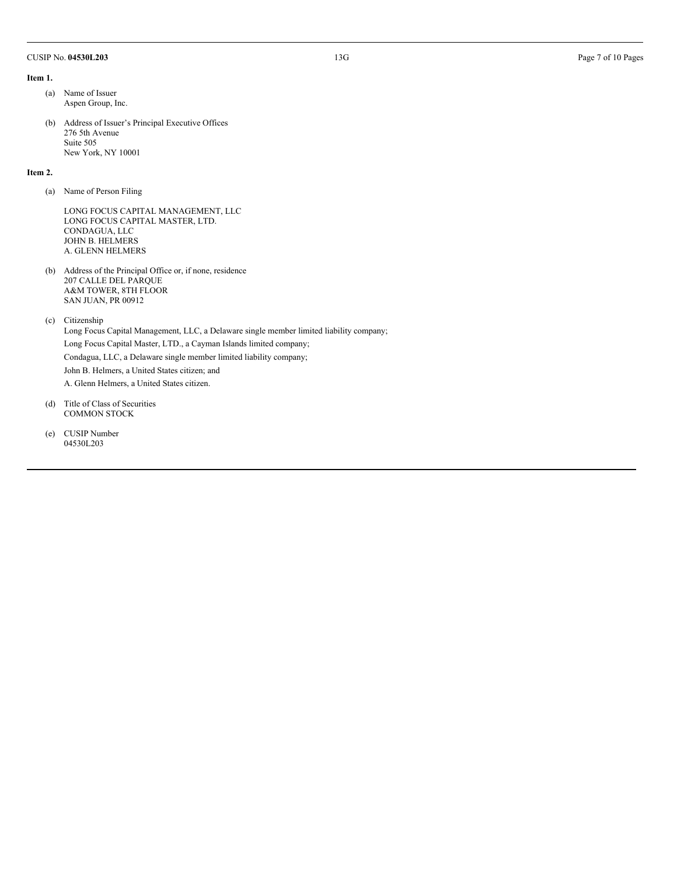#### CUSIP No. **04530L203** 13G Page 7 of 10 Pages

#### **Item 1.**

- (a) Name of Issuer Aspen Group, Inc.
- (b) Address of Issuer's Principal Executive Offices 276 5th Avenue Suite 505 New York, NY 10001

#### **Item 2.**

(a) Name of Person Filing

LONG FOCUS CAPITAL MANAGEMENT, LLC LONG FOCUS CAPITAL MASTER, LTD. CONDAGUA, LLC JOHN B. HELMERS A. GLENN HELMERS

(b) Address of the Principal Office or, if none, residence 207 CALLE DEL PARQUE A&M TOWER, 8TH FLOOR SAN JUAN, PR 00912

(c) Citizenship

Long Focus Capital Management, LLC, a Delaware single member limited liability company; Long Focus Capital Master, LTD., a Cayman Islands limited company; Condagua, LLC, a Delaware single member limited liability company; John B. Helmers, a United States citizen; and A. Glenn Helmers, a United States citizen.

- (d) Title of Class of Securities COMMON STOCK
- (e) CUSIP Number 04530L203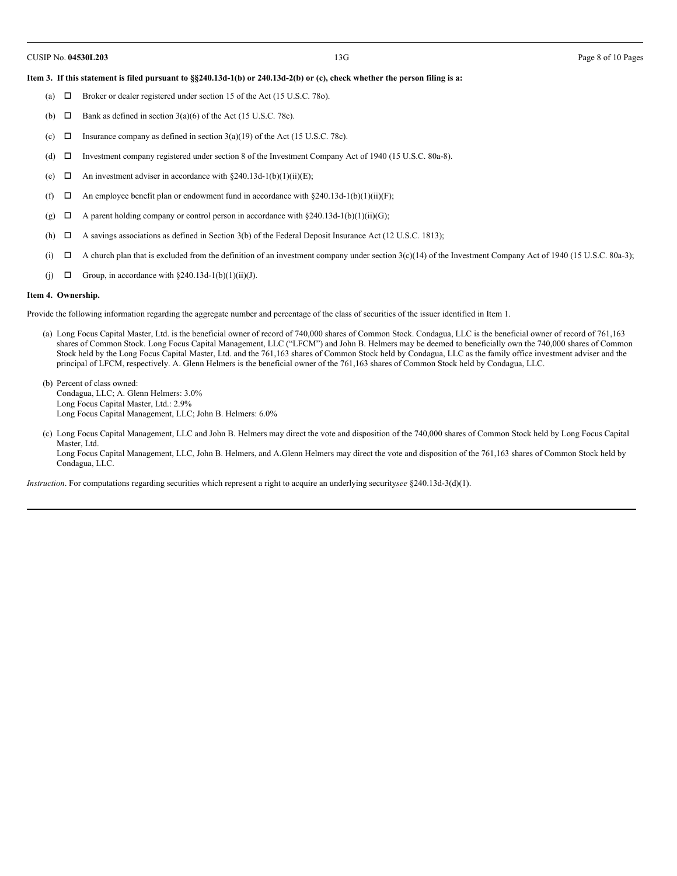#### Item 3. If this statement is filed pursuant to §§240.13d-1(b) or 240.13d-2(b) or (c), check whether the person filing is a:

- (a)  $\Box$  Broker or dealer registered under section 15 of the Act (15 U.S.C. 78o).
- (b)  $\Box$  Bank as defined in section 3(a)(6) of the Act (15 U.S.C. 78c).
- (c)  $\Box$  Insurance company as defined in section 3(a)(19) of the Act (15 U.S.C. 78c).
- (d)  $\Box$  Investment company registered under section 8 of the Investment Company Act of 1940 (15 U.S.C. 80a-8).
- (e)  $\Box$  An investment adviser in accordance with §240.13d-1(b)(1)(ii)(E);
- (f)  $\Box$  An employee benefit plan or endowment fund in accordance with §240.13d-1(b)(1)(ii)(F);
- (g)  $\Box$  A parent holding company or control person in accordance with §240.13d-1(b)(1)(ii)(G);
- (h)  $\Box$  A savings associations as defined in Section 3(b) of the Federal Deposit Insurance Act (12 U.S.C. 1813);
- (i)  $\Box$  A church plan that is excluded from the definition of an investment company under section 3(c)(14) of the Investment Company Act of 1940 (15 U.S.C. 80a-3);
- (j)  $\Box$  Group, in accordance with §240.13d-1(b)(1)(ii)(J).

#### **Item 4. Ownership.**

Provide the following information regarding the aggregate number and percentage of the class of securities of the issuer identified in Item 1.

- (a) Long Focus Capital Master, Ltd. is the beneficial owner of record of 740,000 shares of Common Stock. Condagua, LLC is the beneficial owner of record of 761,163 shares of Common Stock. Long Focus Capital Management, LLC ("LFCM") and John B. Helmers may be deemed to beneficially own the 740,000 shares of Common Stock held by the Long Focus Capital Master, Ltd. and the 761,163 shares of Common Stock held by Condagua, LLC as the family office investment adviser and the principal of LFCM, respectively. A. Glenn Helmers is the beneficial owner of the 761,163 shares of Common Stock held by Condagua, LLC.
- (b) Percent of class owned: Condagua, LLC; A. Glenn Helmers: 3.0% Long Focus Capital Master, Ltd.: 2.9% Long Focus Capital Management, LLC; John B. Helmers: 6.0%
- (c) Long Focus Capital Management, LLC and John B. Helmers may direct the vote and disposition of the 740,000 shares of Common Stock held by Long Focus Capital Master, Ltd. Long Focus Capital Management, LLC, John B. Helmers, and A.Glenn Helmers may direct the vote and disposition of the 761,163 shares of Common Stock held by Condagua, LLC.

*Instruction*. For computations regarding securities which represent a right to acquire an underlying security*see* §240.13d-3(d)(1).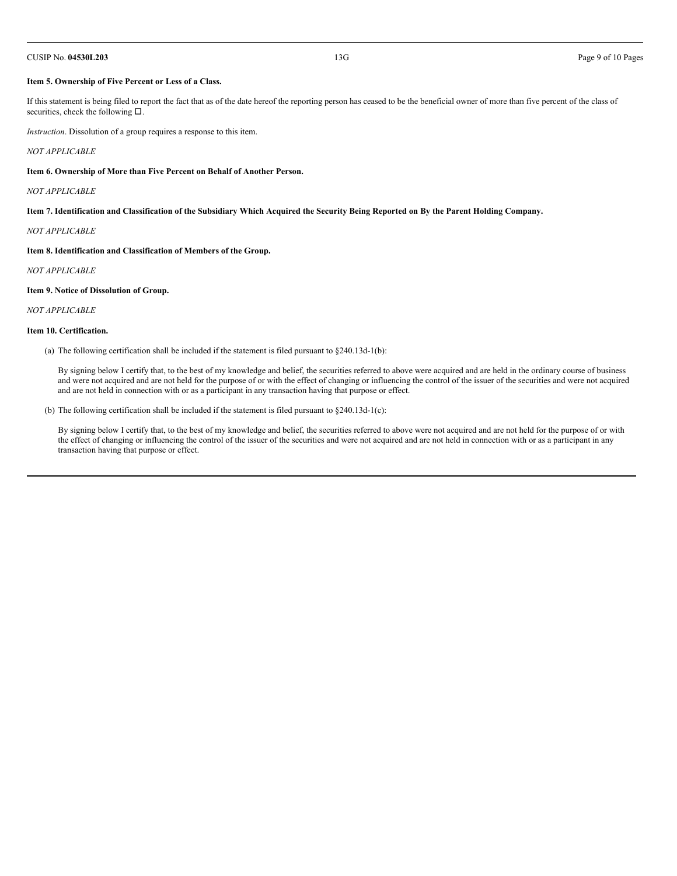#### CUSIP No. **04530L203** 13G Page 9 of 10 Pages

#### **Item 5. Ownership of Five Percent or Less of a Class.**

If this statement is being filed to report the fact that as of the date hereof the reporting person has ceased to be the beneficial owner of more than five percent of the class of securities, check the following  $\square$ .

*Instruction*. Dissolution of a group requires a response to this item.

#### *NOT APPLICABLE*

**Item 6. Ownership of More than Five Percent on Behalf of Another Person.**

*NOT APPLICABLE*

Item 7. Identification and Classification of the Subsidiary Which Acquired the Security Being Reported on By the Parent Holding Company.

*NOT APPLICABLE*

**Item 8. Identification and Classification of Members of the Group.**

*NOT APPLICABLE*

#### **Item 9. Notice of Dissolution of Group.**

*NOT APPLICABLE*

#### **Item 10. Certification.**

(a) The following certification shall be included if the statement is filed pursuant to  $\S 240.13d-1(b)$ :

By signing below I certify that, to the best of my knowledge and belief, the securities referred to above were acquired and are held in the ordinary course of business and were not acquired and are not held for the purpose of or with the effect of changing or influencing the control of the issuer of the securities and were not acquired and are not held in connection with or as a participant in any transaction having that purpose or effect.

(b) The following certification shall be included if the statement is filed pursuant to §240.13d-1(c):

By signing below I certify that, to the best of my knowledge and belief, the securities referred to above were not acquired and are not held for the purpose of or with the effect of changing or influencing the control of the issuer of the securities and were not acquired and are not held in connection with or as a participant in any transaction having that purpose or effect.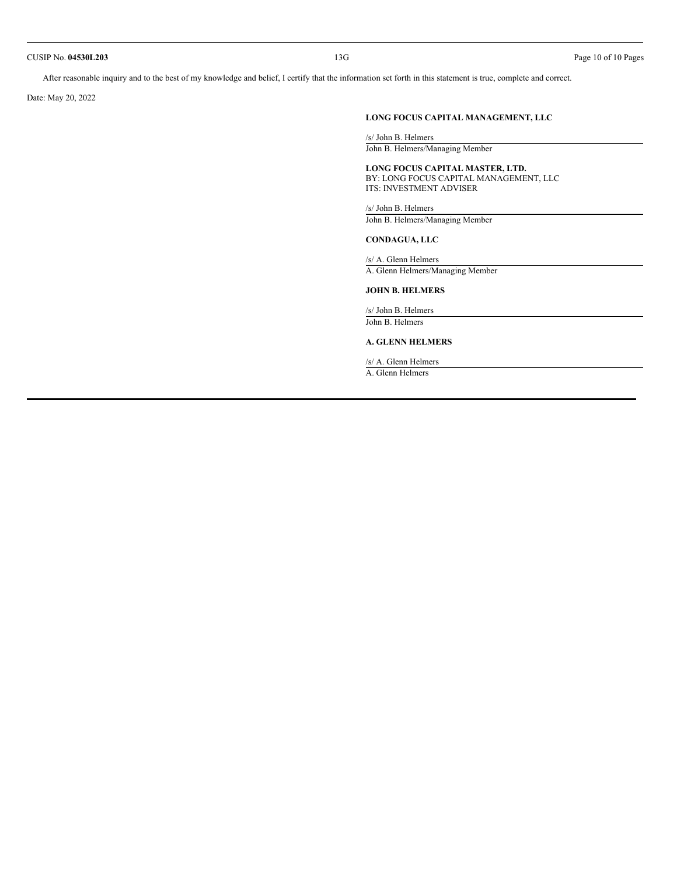#### CUSIP No. **04530L203** 13G Page 10 of 10 Pages

After reasonable inquiry and to the best of my knowledge and belief, I certify that the information set forth in this statement is true, complete and correct.

Date: May 20, 2022

# **LONG FOCUS CAPITAL MANAGEMENT, LLC**

/s/ John B. Helmers John B. Helmers/Managing Member

**LONG FOCUS CAPITAL MASTER, LTD.** BY: LONG FOCUS CAPITAL MANAGEMENT, LLC ITS: INVESTMENT ADVISER

/s/ John B. Helmers John B. Helmers/Managing Member

#### **CONDAGUA, LLC**

/s/ A. Glenn Helmers A. Glenn Helmers/Managing Member

# **JOHN B. HELMERS**

/s/ John B. Helmers John B. Helmers

## **A. GLENN HELMERS**

/s/ A. Glenn Helmers

A. Glenn Helmers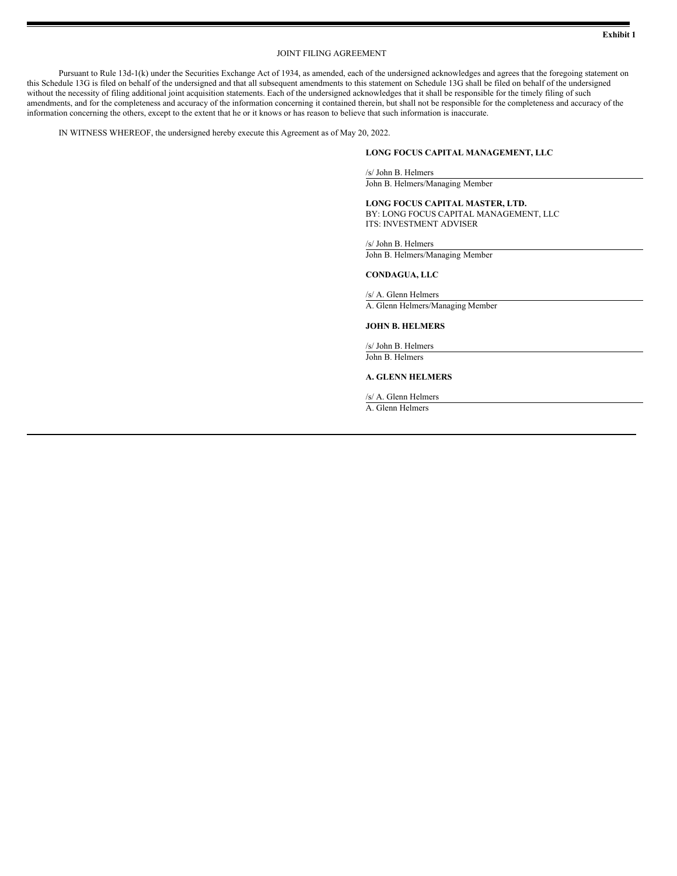## JOINT FILING AGREEMENT

Pursuant to Rule 13d-1(k) under the Securities Exchange Act of 1934, as amended, each of the undersigned acknowledges and agrees that the foregoing statement on this Schedule 13G is filed on behalf of the undersigned and that all subsequent amendments to this statement on Schedule 13G shall be filed on behalf of the undersigned without the necessity of filing additional joint acquisition statements. Each of the undersigned acknowledges that it shall be responsible for the timely filing of such amendments, and for the completeness and accuracy of the information concerning it contained therein, but shall not be responsible for the completeness and accuracy of the information concerning the others, except to the extent that he or it knows or has reason to believe that such information is inaccurate.

IN WITNESS WHEREOF, the undersigned hereby execute this Agreement as of May 20, 2022.

## **LONG FOCUS CAPITAL MANAGEMENT, LLC**

/s/ John B. Helmers

John B. Helmers/Managing Member

**LONG FOCUS CAPITAL MASTER, LTD.** BY: LONG FOCUS CAPITAL MANAGEMENT, LLC ITS: INVESTMENT ADVISER

/s/ John B. Helmers

John B. Helmers/Managing Member

#### **CONDAGUA, LLC**

/s/ A. Glenn Helmers A. Glenn Helmers/Managing Member

#### **JOHN B. HELMERS**

/s/ John B. Helmers John B. Helmers

#### **A. GLENN HELMERS**

/s/ A. Glenn Helmers

A. Glenn Helmers